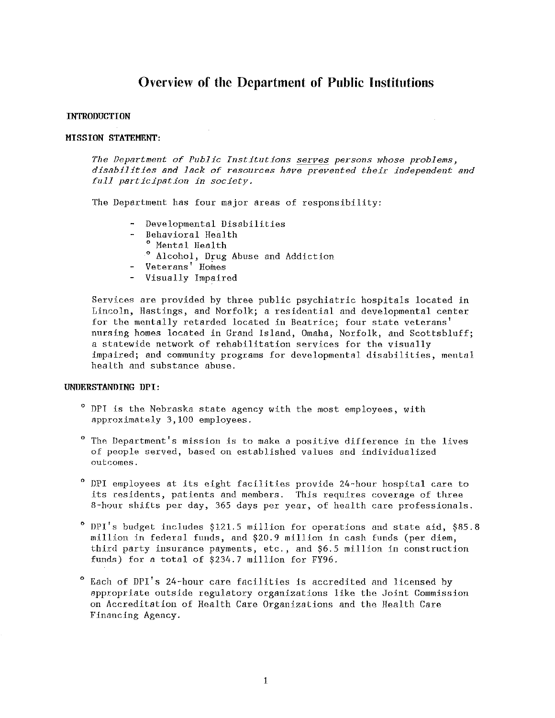# Overview of the Department of Public Institutions

# INTRODUCTION

# MISSION STATEMENT:

The Department of Public Institutions serves persons whose problems, disabilities and lack of resources have prevented their independent and *full participation in society.* 

The Department has four major areas of responsibility:

- Developmental Disabilities
- $\overline{a}$ Behavioral Health
	- 0 Mental Health
	- <sup>0</sup> Alcohol, Drug Abuse and Addiction
- Veterans' Homes
- Visually Impaired

Services are provided by three public psychiatric hospitals located in Lincoln, Hastings, and Norfolk; a residential and developmental center for the mentally retarded located in Beatrice; four state veterans' nursing homes located in Grand Island, Omaha, Norfolk, and Scottsbluff; a statewide network of rehabilitation services for the visually impaired; and community programs for developmental disabilities, mental health and substance abuse.

# UNURRSTANDING UPI:

- <sup>0</sup> DPT is the Nebraska state agency with the most employees, with approximately 3,100 employees.
- $^{\circ}$  The Department's mission is to make a positive difference in the lives of people served, based on established values and individualized outcomes.
- <sup>0</sup> DPI employees at its eight facilities provide 24-hour hospital care to its residents, patients and members. This requires coverage of three 8-hour shifts per day, 365 days per year, of health care professionals.
- $^{\circ}$  DPI's budget includes \$121.5 million for operations and state aid, \$85.8 million in federal funds, and \$20.9 million in cash funds (per diem, third party insurance payments, etc., and \$6.5 million in construction funds) for a total of \$234. 7 million for FY96.
- Each of DPI's 24-hour care facilities is accredited and licensed by appropriate outside regulatory organizations like the Joint Commission on Accreditation of Health Care Organizations and the Health Care Financing Agency.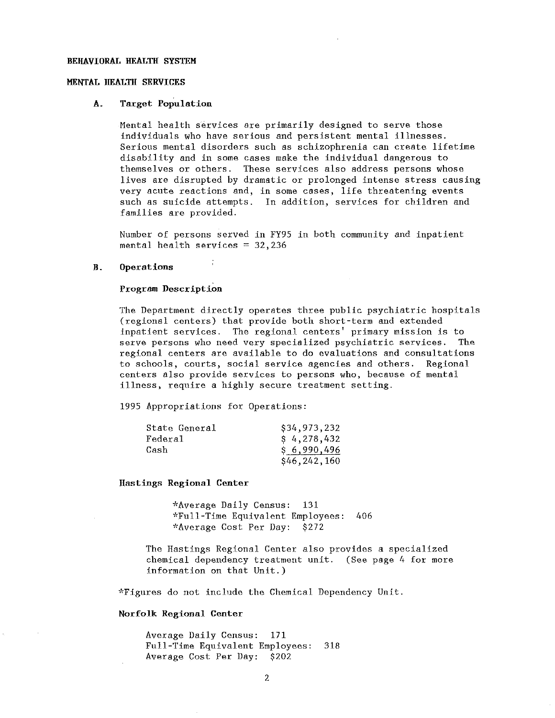#### BEHAVIORAL HEALTH SYSTEM

# MENTAL HEALTH SERVICES

#### A. Target Population

Mental health services are primarily designed to serve those individuals who have serions and persistent mental illnesses. Serious mental disorders such as schizophrenia can create lifetime disability and in some cases make the individual dangerous to themselves or others. These services also address persons whose lives are disrupted by dramatic or prolonged intense stress causing very acute reactions and, in some cases, life threatening events<br>such as suicide attempts. In addition, services for children and In addition, services for children and families are provided.

Number of persons served in FY95 in both community and inpatient mental health services  $= 32,236$ 

#### B. Operations

#### Program Description

The Department directly operates three public psychiatric hospitals (regional centers) that provide both short-term and extended inpatient services. The regional centers' primary mission is to serve persons who need very specialized psychiatric services. The regional centers are available to do evaluations and consultations to schools, courts, social service agencies and others. Regional centers also provide services to persons who, because of mental illness, require a highly secure treatment setting.

1995 Appropriations for Operations:

| State General | \$34,973,232   |
|---------------|----------------|
| Federal       | \$4,278,432    |
| Cash          | \$6,990,496    |
|               | \$46, 242, 160 |

Hastings Regional Center

\*Average Daily Census: 131 ''Full-Time Equivalent Employees: 406 \*Average Cost Per Day: \$272

The Hastings Regional Center also provides a specialized chemical dependency treatment unit. (See page 4 for more information on that Unit.)

"Figures do not include the Chemical Dependency Unit.

# Norfolk Regional Center

Average Daily Census: 171 Full-Time Equivalent Employees: 318 Average Cost Per Day: \$202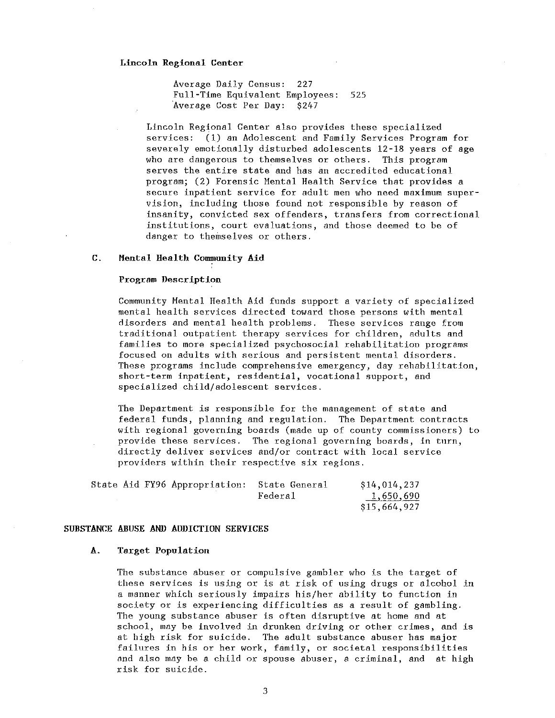#### Lincoln Regional Center

Average Daily Census: 227 Full-Time Equivalent Employees: 525 Average Cost Per Day: \$247

Lincoln Regional Center also provides these specialized services: (1) an Adolescent and Family Services Program for severely emotionally disturbed adolescents 12-18 years of age who are dangerous to themselves or others. This program serves the entire state and has an accredited educational program; (2) Forensic Mental Health Service that provides a secure inpatient service for adult men who need maximum supervision, including those found not responsible by reason of insanity, convicted sex offenders, transfers from correctional institutions, court evaluations, and those deemed to be of danger to themselves or others.

# C. Mental Health Community Aid

# Program Description

Community Mental Health Aid funds support a variety of specialized mental health services directed toward those persons with mental disorders and mental health problems. These services range from traditional outpatient. therapy services for children, adults and families to more specialized psychosocial rehabilitation programs focused on adults with serious and persistent mental disorders. These programs include comprehensive emergency, day rehabilitation, short-term inpatient, residential, vocational support, and specialized child/ adolescent services.

The Department is responsible for the management of state and federal funds, planning and regulation. The Department contracts with regional governing boards (made up of county commissioners) to provide these services. The regional governing boards, in turn, directly deliver services and/or contract with local service providers within their respective six regions.

|  | State Aid FY96 Appropriation: | - State General | \$14,014,237 |
|--|-------------------------------|-----------------|--------------|
|  |                               | Federa1         | 1,650,690    |
|  |                               |                 | \$15,664,927 |

#### SUBSTANCE ABUSE AND ADDICTION SERVICES

#### A. Target Population

The substance abuser or compulsive gambler who is the target of these services is using or is at risk of using drugs or alcohol in a manner which seriously impairs his/her ability to function in society or is experiencing difficulties as a result of gambling. The young substance abuser is often disruptive at home and at school, may be involved in drunken driving or other crimes, and is at high risk for suicide. The adult substance abuser has major failures in his or her work, family, or societal responsibilities and also may be a child or spouse abuser, a criminal, and at high risk for suicide.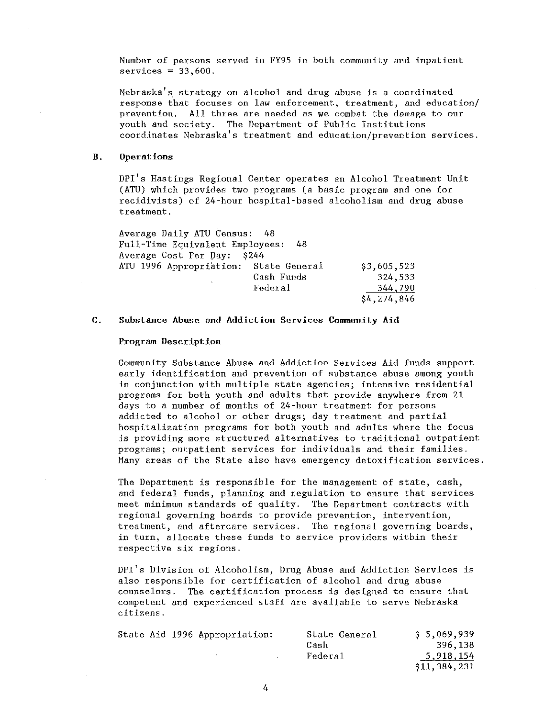Number of persons served in FY95 in both community and inpatient  $s$ ervices = 33,600.

**Nebraska's. strategy on alcohol and drug abuse is a coordinated response that focuses on law enforcement, treatment, and education/ prevention. All three are needed as we combat the damage to our**  youth and society. The Department of Public Institutions **coordinates Nebraska's treatment and education/prevention services.** 

# **B.** Operations

DPI's Hastings Regional Center operates an Alcohol Treatment Unit (ATU) which provides two programs (a basic program and one for recidivists) of 24-hour hospital-based alcoholism and drug abuse treatment.

| Average Daily ATU Census: 48          |            |             |
|---------------------------------------|------------|-------------|
| Full-Time Equivalent Employees: 48    |            |             |
| Average Cost Per Day: \$244           |            |             |
| ATU 1996 Appropriation: State General |            | \$3,605,523 |
|                                       | Cash Funds | 324,533     |
|                                       | Federal    | 344,790     |
|                                       |            | \$4,274,846 |

# C. Substance Abuse and Addiction Services Community Aid

### **Program Description**

Community Substance Abuse and Addiction Services Aid funds support early identification and prevention of substance abuse among youth **in conjunction with multiple state agencies; intensive residential**  programs for both youth and adults that provide anywhere from 21 days to a number of months of 24-hour treatment for persons addicted to alcohol or other drugs; day treatment and partial hospitalization programs for both youth and adults where the focus is providing more structured alternatives to traditional outpatient programs; outpatient services for individuals and their families. Many areas of the State also have emergency detoxification services.

The Department is responsible for the management of state, cash, and federal funds, planning and regulation to ensure that services meet minimum standards of quality. The Department contracts with **regional governing boards to provide prevention, intervention, treatment, and aftercare services. The regional governing boards,**  in turn, allocate these funds to service providers within their **respective six regions.** 

DPI's Division of Alcoholism, Drug Abuse and Addiction Services is also responsible for certification of alcohol and drug abuse **counselors. 'fhe certification process is designed to ensure that competent and experienced staff are available to serve Nebraska citizens.** 

|  | State Aid 1996 Appropriation: | State General | \$ 5,069,939   |
|--|-------------------------------|---------------|----------------|
|  |                               | Cash          | 396,138        |
|  |                               | Federal       | 5,918,154      |
|  |                               |               | \$11, 384, 231 |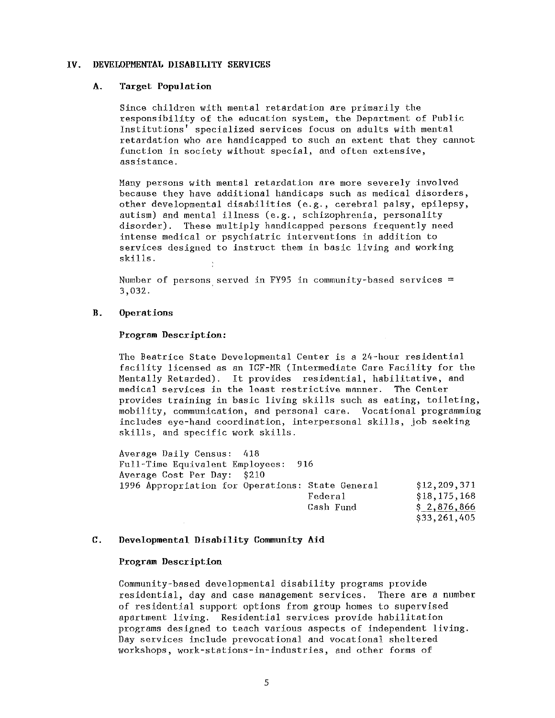#### IV. DEVELOPMENTAT, DISABII.ITY SERVICES

# A. Target Population

Since children with mental retardation are primarily the responsibility of the education system, the Department of Public Institutions' specialized services focus on adults with mental retardation who are handicapped to such an extent that they cannot function in society without special, and often extensive, assistance.

Many persons with mental retardation are more severely involved because they have additional handicaps such as medical disorders, other developmental disabilities (e.g., cerebral palsy, epilepsy, autism) and mental illness (e.g., schizophrenia, personality disorder). These multiply handicapped persons frequently need intense medical or psychiatric interventions in addition to services designed to instruct them in basic living and working skills.

Number of persons served in FY95 in community-based services = 3,032.

# B. Operations

# Program Description:

The Beatrice State Developmental Center is a 24-hour residential facility licensed as an ICF-MR (Intermediate Care Facility for the Mentally Retarded). It provides residential, habilitative, and medical services in the least restrictive manner. The Center provides training in basic living skills such as eating, toileting, mobility, communication, and personal care. Vocational programming includes eye-hand coordination, interpersonal skills, job seeking skills, and specific work skills.

Average Daily Census: 418 Full-Time Equivalent Employees: 916 Average Cost Per Day: \$210 1996 Appropriation for Operations: State General \$12,209,371 Federal \$18,175,168 Cash Fund \$ 2,876,866

\$33,261,405

# C. Developmental Disability Community Aid

#### Program Description

Community-based developmental disability programs provide residential, day and case management services. There are a number of residential support options from group homes to supervised apartment living. Residential services provide habilitation programs designed to teach various aspects of independent living. Day services include prevocational and vocational sheltered workshops, work-stations-in-industries, and other forms of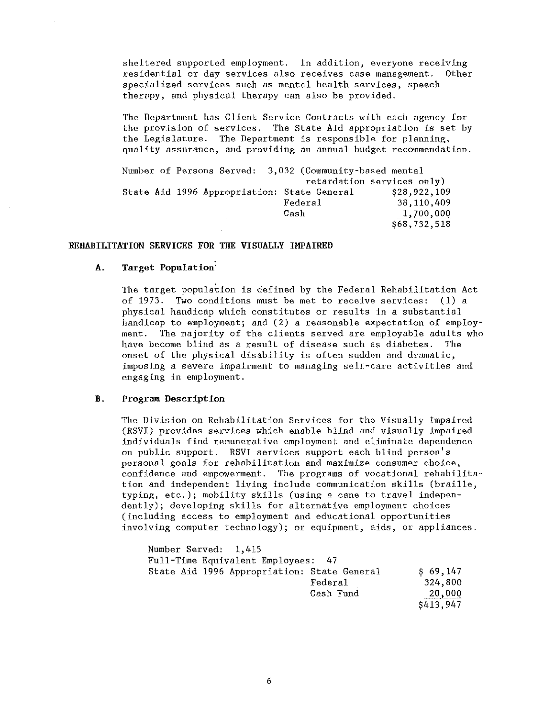sheltered supported employment. In addition, everyone receiving **residential or day services also receives case management. Other**  specialized services such as mental health services, speech therapy, and physical therapy can also be provided.

The Department has Client Service Contracts with each agency for the provision of services. The State Aid appropriation is set by the Legislature. The Department is responsible for planning, quality assurance, and providing an annual budget recommendation.

|  |  |                                             |      |         |  | Number of Persons Served: 3,032 (Community-based mental |
|--|--|---------------------------------------------|------|---------|--|---------------------------------------------------------|
|  |  |                                             |      |         |  | retardation services only)                              |
|  |  | State Aid 1996 Appropriation: State General |      |         |  | \$28,922,109                                            |
|  |  |                                             |      | Federal |  | 38,110,409                                              |
|  |  |                                             | Cash |         |  | 1,700,000                                               |
|  |  |                                             |      |         |  | \$68,732,518                                            |

# REHABILITATION SERVICES FOR THE VISUALLY IMPAIRED

# $\Lambda$ . Target Population<sup>'</sup>

The target population is defined by the Federal Rehabilitation Act of 1973. Two conditions must be met to receive services: (1) a physical handicap which constitutes or results in a substantial handicap to employment; and (2) a reasonable expectation of employment. The majority of the clients served are employable adults who have become blind as a result of disease such as diabetes. The onset of the physical disability is often sudden and dramatic, **imposing a severe impairment to managing self-care activities and**  engaging in employment.

### **11. Program Description**

The Division on Rehabilitation Services for the Visually Impaired (RSVI) provides services which enable blind and visually impaired individuals find remunerative employment and eliminate dependence on public support, RSVI services support each blind person's **personal goals for rehabilitation and maximize consumer choice,**  confidence and empowerment. The programs of vocational rehabilitation and independent living include communication skills (braille, typing, etc.); mobility skills (using a cane to travel independently); developing skills for alternative employment choices (including access to employment and educational opportunities involving computer technology); or equipment, aids, or appliances.

| Number Served: 1,415                        |           |           |
|---------------------------------------------|-----------|-----------|
| Full-Time Equivalent Employees: 47          |           |           |
| State Aid 1996 Appropriation: State General |           | \$69,147  |
|                                             | Federal   | 324,800   |
|                                             | Cash Fund | 20,000    |
|                                             |           | \$413,947 |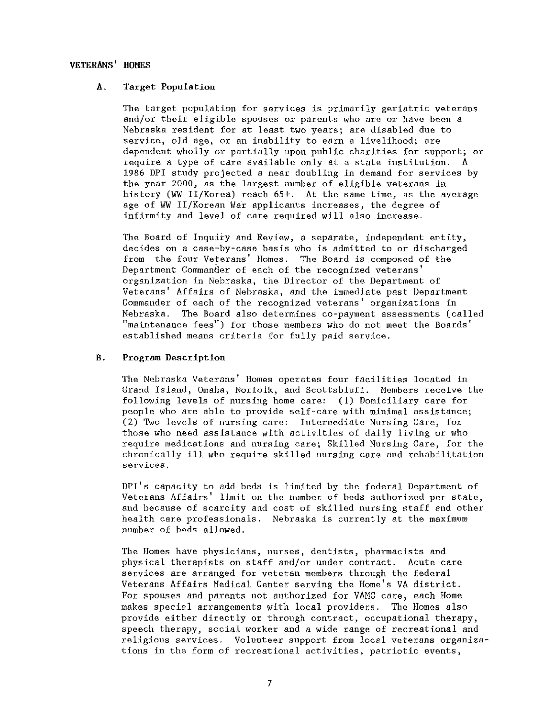# VETERANS' HOMES

# A. Target Population

The target population for services is primarily geriatric veterans and/or their eligible spouses or parents who are or have been a Nebraska resident for at least two years; are disabled due to service, old age, or an inability to earn a livelihood; are dependent wholly or partially upon public charities for support; or require a type of care available only at a state institution. A 1986 DPI study projected a near doubling in demand for services by the year 2000, as the largest number of eligible veterans in history (WW II/Korea) reach 65+. At the same time, as the average age of WW II/Korean War applicants increases, the degree of infirmity and level of care required will also increase.

The Board of Inquiry and Review, a separate, independent entity, decides on a case-by-case basis who is admitted to or discharged from the four Veterans' Homes. The Board is composed of the Department Commander of each of the recognized veterans' organization in Nebraska, the Director of the Department of Veterans' Affairs' of Nebraska, and the immediate past Department Commander of each of the recognized veterans' organizations in<br>Nebraska. The Board also determines co-payment assessments (c. The Board also determines co-payment assessments (called "maintenance fees") for those members who do not meet the Boards' established means criteria for fully paid service.

#### B. Program Description

The Nebraska Veterans' Homes operates four facilities located in Grand Island, Omaha, Norfolk, and Scottsbluff. Members receive the following levels of nursing home care: (1) Domiciliary care for people who are able to provide self-care with minimal assistance; (2) Two levels of nursing care: Intermediate Nursing Care, for those who need assistance with activities of daily living or who require medications and nursing care; Skilled Nursing Care, for the chronically ill who require skilled nursing care and rehabilitation services.

DPI's capacity to add beds is limited by the federal Department of Veterans Affairs' limit on the number of beds authorized per state, and because of scarcity and cost of skilled nursing staff and other health care professionals. Nebraska is currently at the maximum number of beds allowed.

The Homes have physicians, nurses, dentists, pharmacists and physical therapists on staff and/or under contract. Acute care services are arranged for veteran members through the federal Veterans Affairs Medical Center serving the Home's VA district. For spouses and parents not authorized for VAMC care, each Home makes special arrangements with local providers. The Homes also provide either directly or through contract, occupational therapy, speech therapy, social worker and a wide range of recreational and religious services. Volunteer support from local veterans organizations in the form of recreational activities, patriotic events,